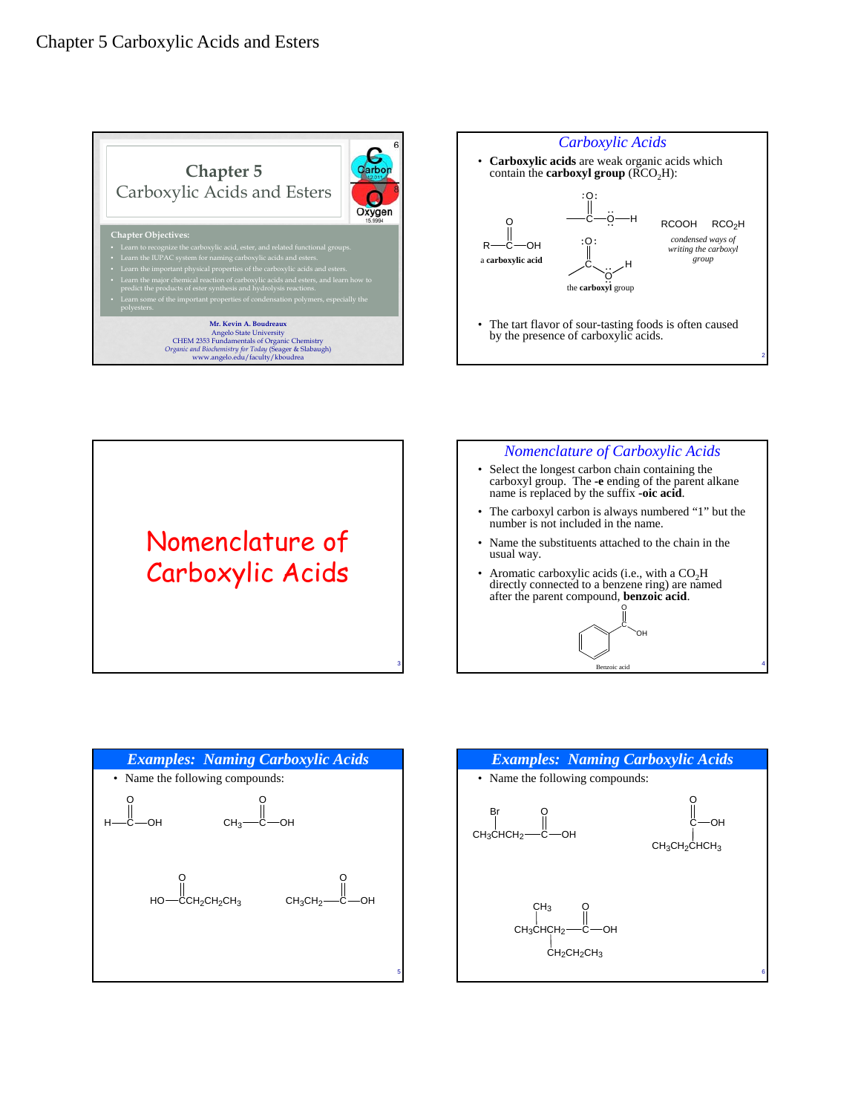







Aromatic carboxylic acids (i.e., with a  $CO<sub>2</sub>H$ directly connected to a benzene ring) are named after the parent compound, **benzoic acid**.

**Benzoic** 

C OH

O



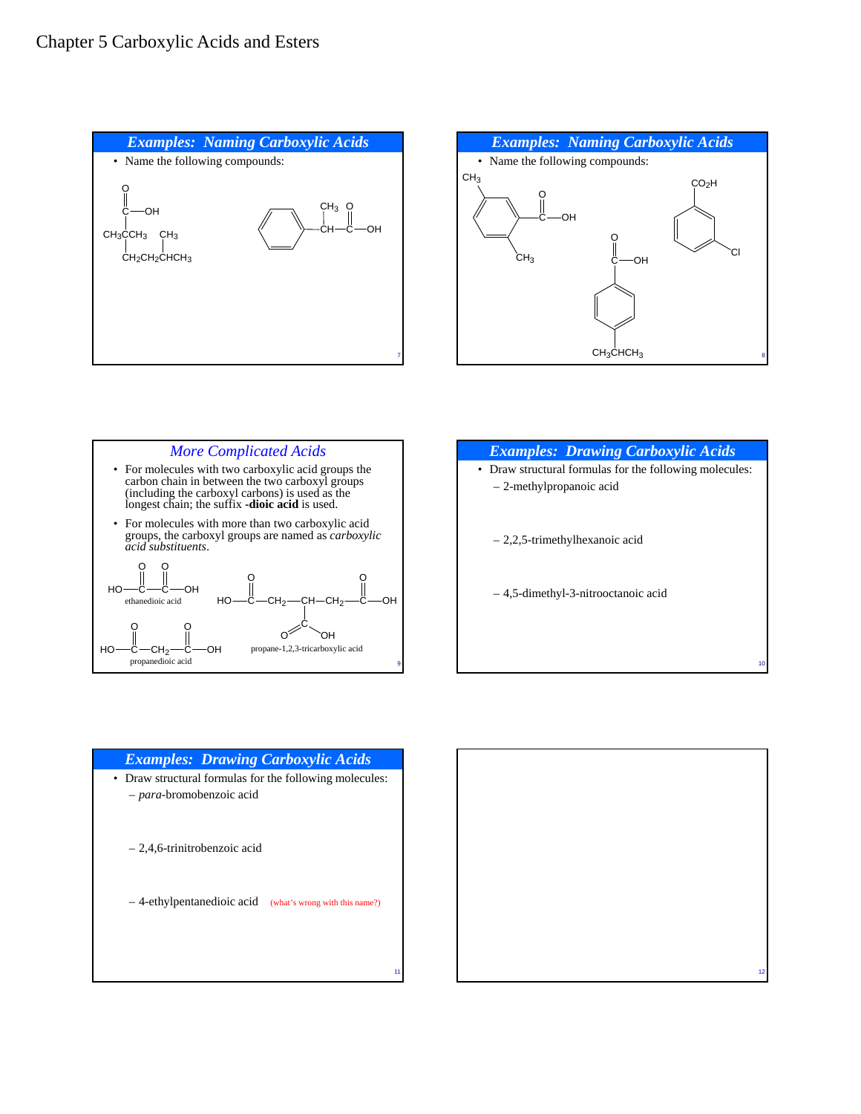## Chapter 5 Carboxylic Acids and Esters









### *Examples: Drawing Carboxylic Acids* • Draw structural formulas for the following molecules:

- *para*-bromobenzoic acid
	- 2,4,6-trinitrobenzoic acid
	- 4-ethylpentanedioic acid (what's wrong with this name?)

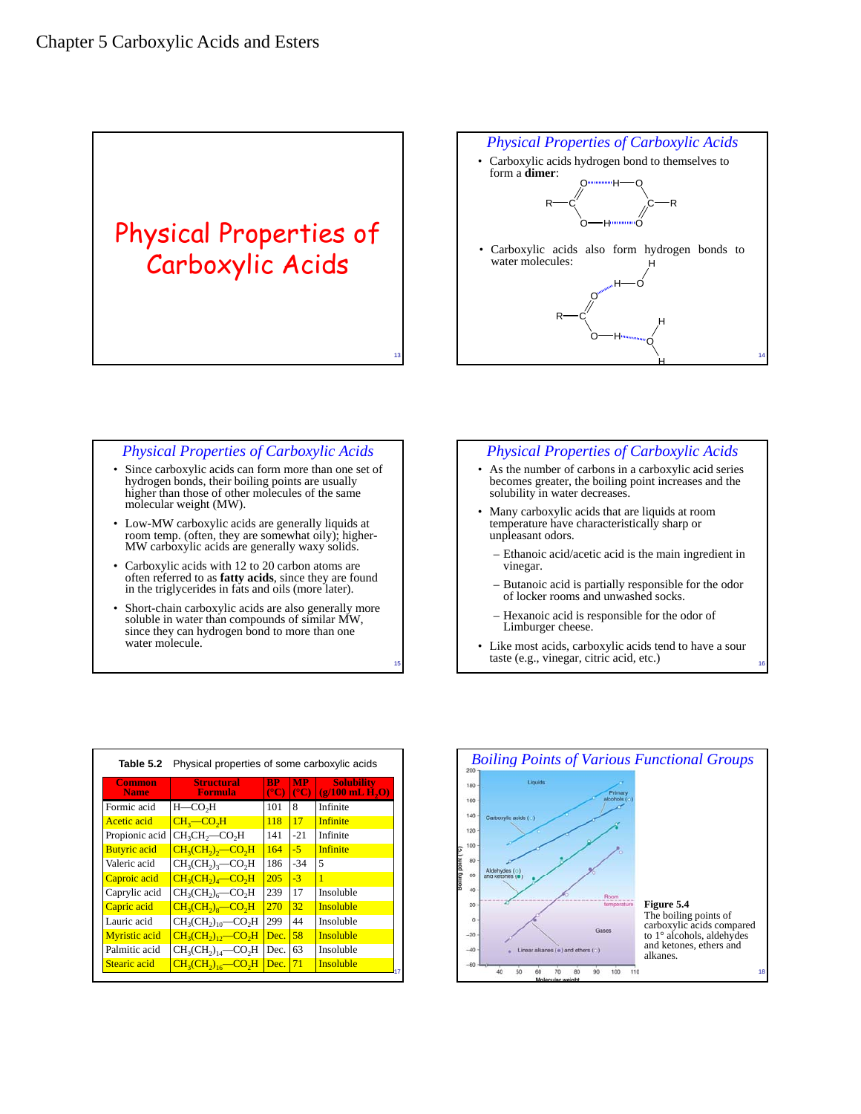# Physical Properties of Carboxylic Acids

#### 14 *Physical Properties of Carboxylic Acids* • Carboxylic acids hydrogen bond to themselves to form a **dimer**:  $_{\rm R\rightarrow C}$ O O H  $c$ —R H—O O  $R$ —C O O H H н $\multimap$ о O H H • Carboxylic acids also form hydrogen bonds to water molecules:

### *Physical Properties of Carboxylic Acids*

13

15

- Since carboxylic acids can form more than one set of hydrogen bonds, their boiling points are usually higher than those of other molecules of the same molecular weight (MW).
- Low-MW carboxylic acids are generally liquids at room temp. (often, they are somewhat oily); higher-MW carboxylic acids are generally waxy solids.
- Carboxylic acids with 12 to 20 carbon atoms are often referred to as **fatty acids**, since they are found in the triglycerides in fats and oils (more later).
- Short-chain carboxylic acids are also generally more soluble in water than compounds of similar MW, since they can hydrogen bond to more than one water molecule.

| <b>Physical Properties of Carboxylic Acids</b>                                                                                                   |
|--------------------------------------------------------------------------------------------------------------------------------------------------|
| • As the number of carbons in a carboxylic acid series<br>becomes greater, the boiling point increases and the<br>solubility in water decreases. |
| • Many carboxylic acids that are liquids at room<br>temperature have characteristically sharp or<br>unpleasant odors.                            |
| $\overline{ }$ Ethanoic acid/acetic acid is the main ingredient in                                                                               |

- acid/acetic acid is the main ingredient in vinegar.
- Butanoic acid is partially responsible for the odor of locker rooms and unwashed socks.
- Hexanoic acid is responsible for the odor of Limburger cheese.
- Like most acids, carboxylic acids tend to have a sour taste (e.g., vinegar, citric acid, etc.)

| Table 5.2             | Physical properties of some carboxylic acids |                              |                            |                                         |  |
|-----------------------|----------------------------------------------|------------------------------|----------------------------|-----------------------------------------|--|
| Common<br><b>Name</b> | <b>Structural</b><br>Formula                 | <b>RP</b><br>$\rm ^{\circ}C$ | <b>MP</b><br>$(^{\circ}C)$ | <b>Solubility</b><br>$(g/100$ mL $H, O$ |  |
| Formic acid           | $H$ — $CO2H$                                 | 101                          | 8                          | Infinite                                |  |
| Acetic acid           | $CH3$ -CO <sub>2</sub> H                     | 118                          | 17                         | <b>Infinite</b>                         |  |
| Propionic acid        | $CH3CH3$ -CO <sub>2</sub> H                  | 141                          | $-21$                      | Infinite                                |  |
| <b>Butyric</b> acid   | $CH3(CH2)2$ - CO <sub>2</sub> H              | 164                          | $-5$                       | <b>Infinite</b>                         |  |
| Valeric acid          | $CH3(CH2)3$ -CO <sub>2</sub> H               | 186                          | $-34$                      | 5                                       |  |
| Caproic acid          | $CH3(CH2)4$ -CO <sub>2</sub> H               | 205                          | $-3$                       | Ī                                       |  |
| Caprylic acid         | $CH3(CH2)6$ -CO <sub>2</sub> H               | 239                          | 17                         | Insoluble                               |  |
| Capric acid           | $CH3(CH2)8$ -CO <sub>2</sub> H               | 270                          | 32                         | <b>Insoluble</b>                        |  |
| Lauric acid           | $CH3(CH2)10$ -CO <sub>2</sub> H              | 299                          | 44                         | Insoluble                               |  |
| <b>Myristic</b> acid  | $CH_3(CH_2)_{12}$ - CO <sub>2</sub> H        | Dec.                         | 58                         | <b>Insoluble</b>                        |  |
| Palmitic acid         | $CH3(CH2)14$ -CO <sub>2</sub> H              | Dec.                         | 63                         | Insoluble                               |  |
| Stearic acid          | $CH3(CH2)16$ -CO <sub>2</sub> H              | Dec.                         | 71                         | <b>Insoluble</b>                        |  |

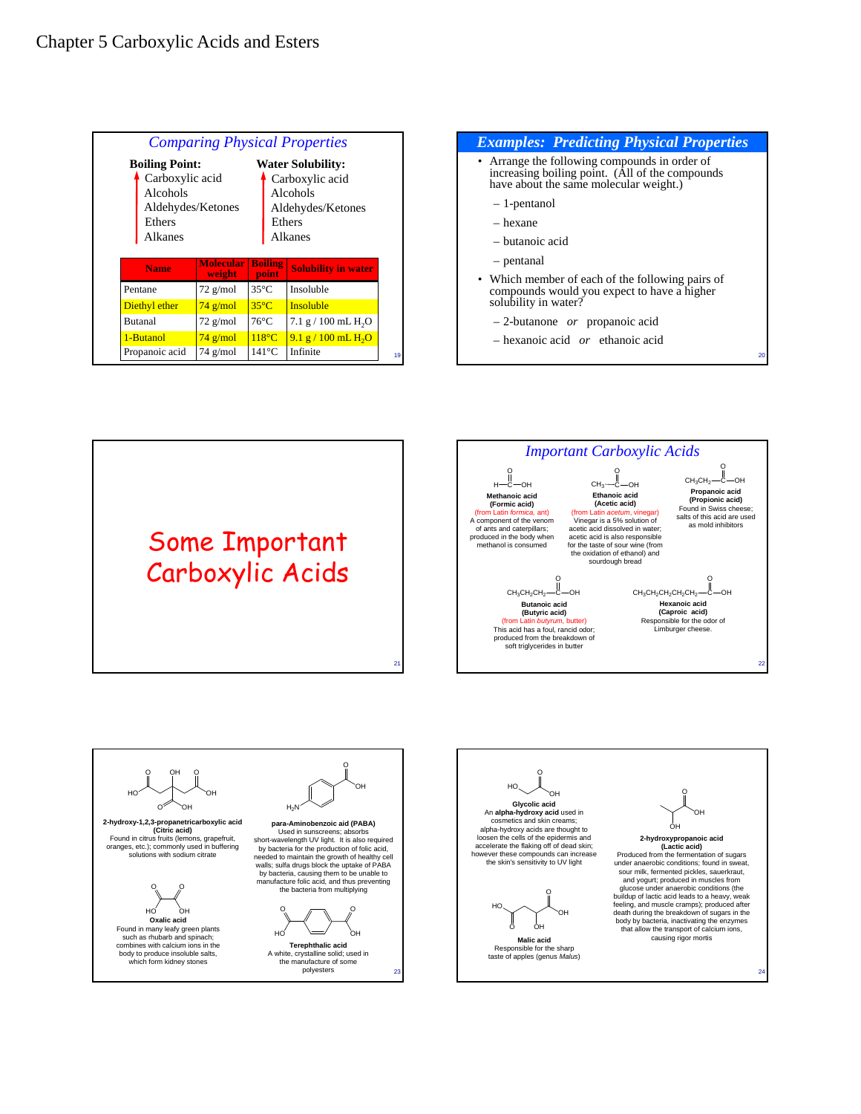## Chapter 5 Carboxylic Acids and Esters

| <b>Comparing Physical Properties</b> |                                      |                          |                                                                              |  |  |  |
|--------------------------------------|--------------------------------------|--------------------------|------------------------------------------------------------------------------|--|--|--|
| <b>Boiling Point:</b>                |                                      | <b>Water Solubility:</b> |                                                                              |  |  |  |
| Alcohols<br>Ethers<br>Alkanes        | Carboxylic acid<br>Aldehydes/Ketones |                          | Carboxylic acid<br>Alcohols<br>Aldehydes/Ketones<br>Ethers<br><b>Alkanes</b> |  |  |  |
|                                      |                                      |                          |                                                                              |  |  |  |
| <b>Name</b>                          | <b>Molecular</b><br>weight           | <b>Boiling</b><br>point  |                                                                              |  |  |  |
| Pentane                              | $72$ g/mol                           | $35^{\circ}$ C           | Insoluble                                                                    |  |  |  |
| Diethyl ether                        | $74$ g/mol                           | $35^{\circ}$ C           | <b>Solubility in water</b><br><b>Insoluble</b>                               |  |  |  |
| Butanal                              | $72$ g/mol                           | $76^{\circ}$ C           |                                                                              |  |  |  |
| 1-Butanol                            | $74$ g/mol                           | $118^{\circ}$ C          | $7.1$ g / 100 mL H <sub>2</sub> O<br>$9.1 g / 100$ mL H <sub>2</sub> O       |  |  |  |









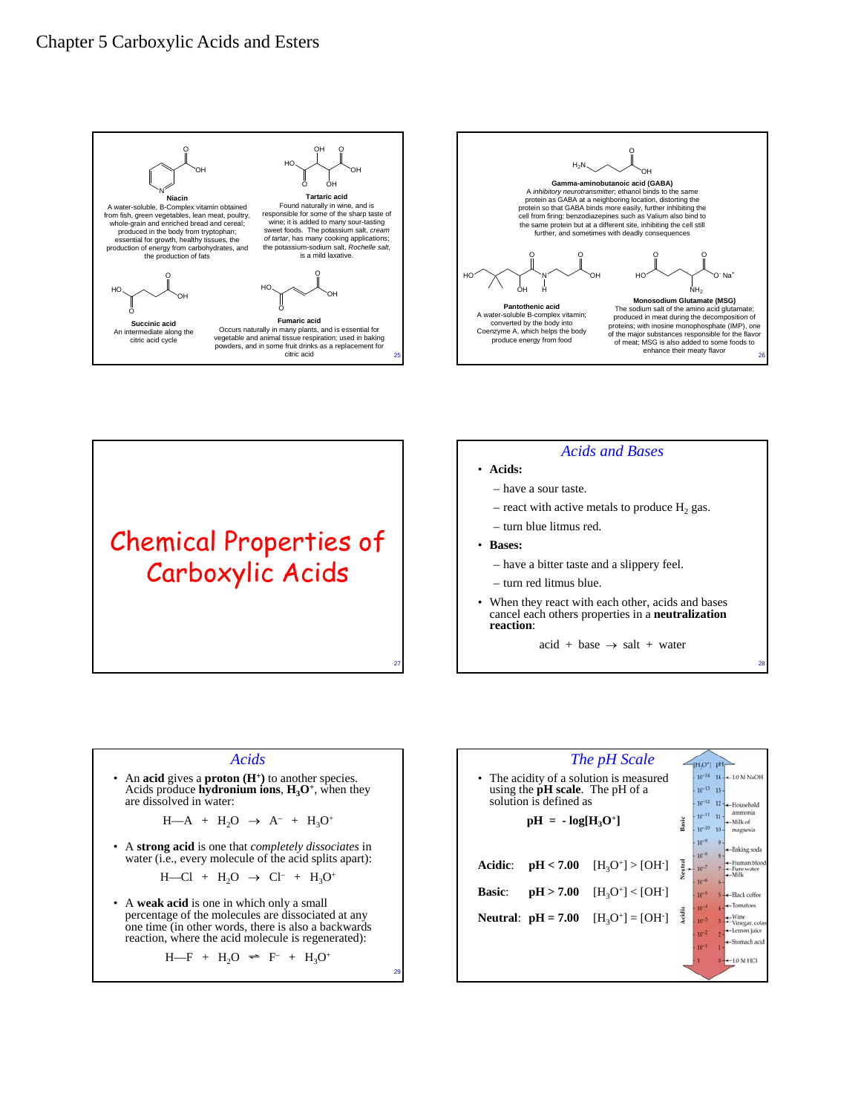



Chemical Properties of Carboxylic Acids

#### *Acids and Bases*

- **Acids:**
	- have a sour taste.
	- $-$  react with active metals to produce  $H_2$  gas.
	- turn blue litmus red.
- **Bases:**

27

29

– have a bitter taste and a slippery feel.

– turn red litmus blue.

- When they react with each other, acids and bases cancel each others properties in a **neutralization reaction**:
	- $\text{acid} + \text{base} \rightarrow \text{salt} + \text{water}$

28

#### *Acids*

An **acid** gives a **proton** ( $H^+$ ) to another species. Acids produce **hydronium ions**,  $H_3O^+$ , when they are dissolved in water:

 $H-A + H_2O \rightarrow A^- + H_3O^+$ 

• A **strong acid** is one that *completely dissociates* in water (i.e., every molecule of the acid splits apart):

$$
H \rightarrow Cl + H_2O \rightarrow Cl^- + H_3O^+
$$

• A **weak acid** is one in which only a small percentage of the molecules are dissociated at any one time (in other words, there is also a backwards reaction, where the acid molecule is regenerated):

$$
H-F + H_2O \Leftrightarrow F^- + H_3O^+
$$

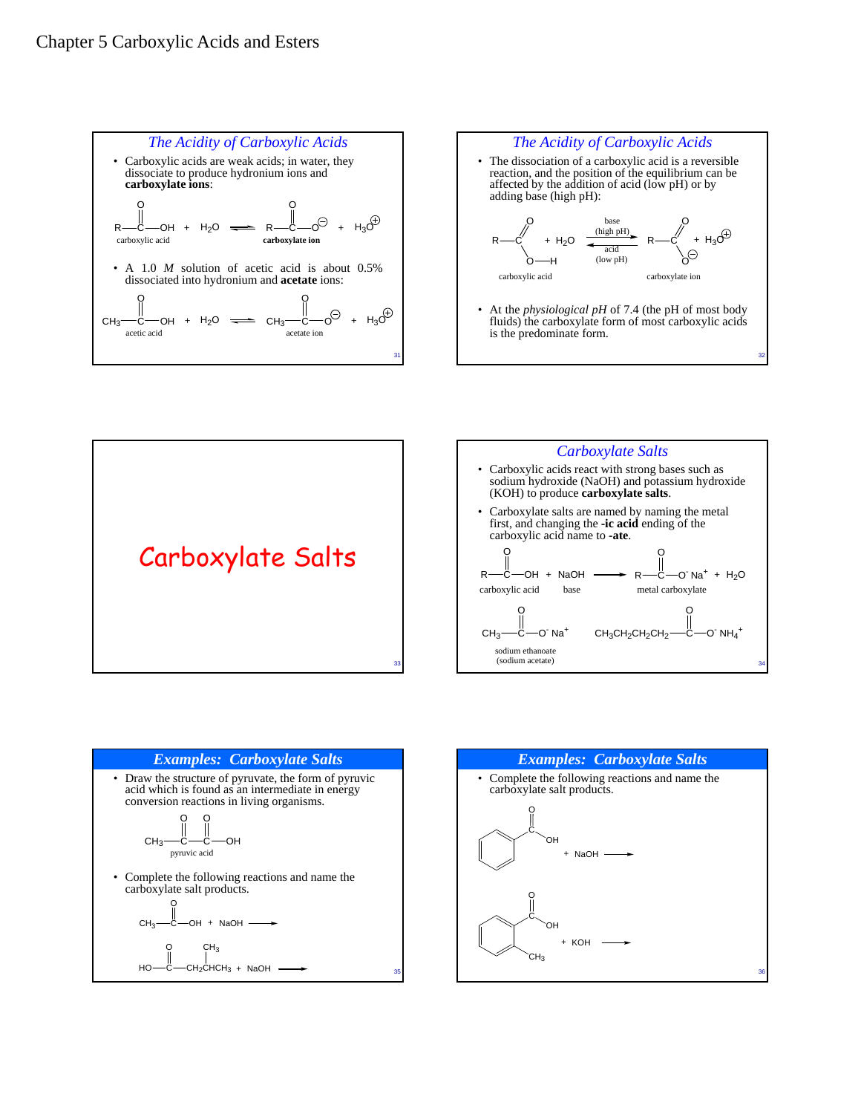









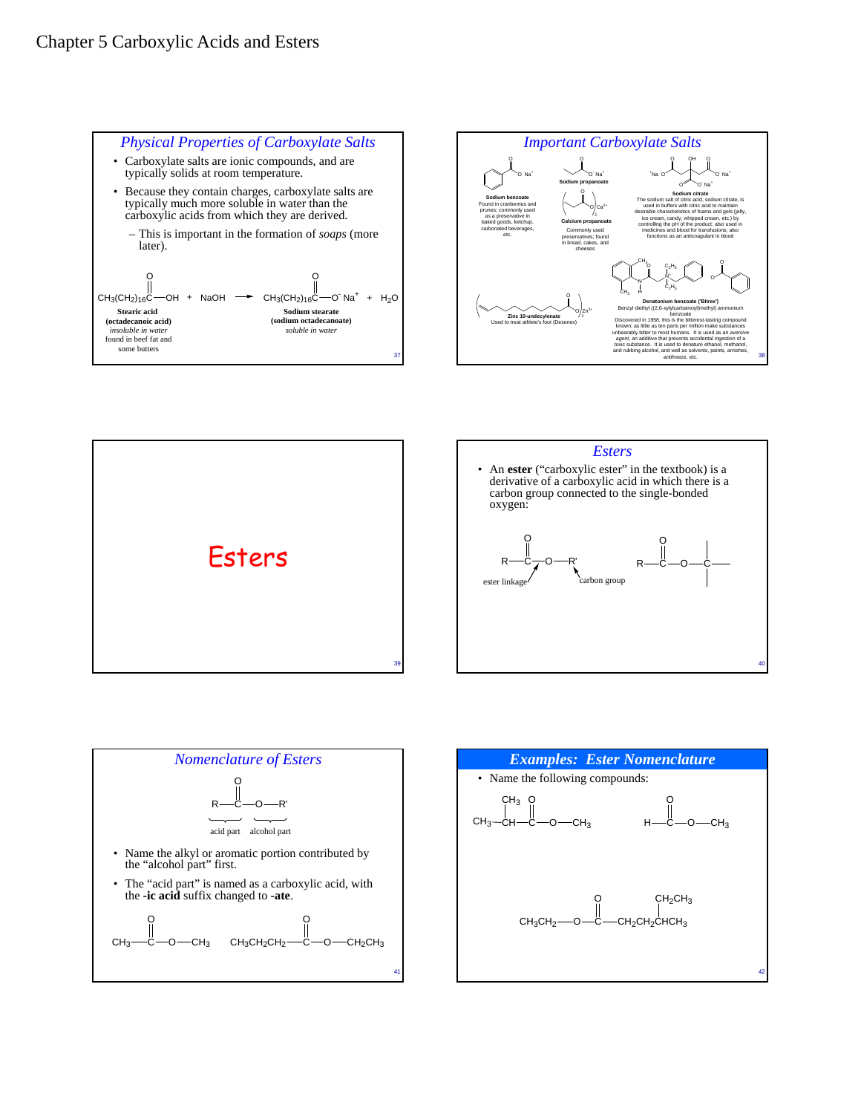









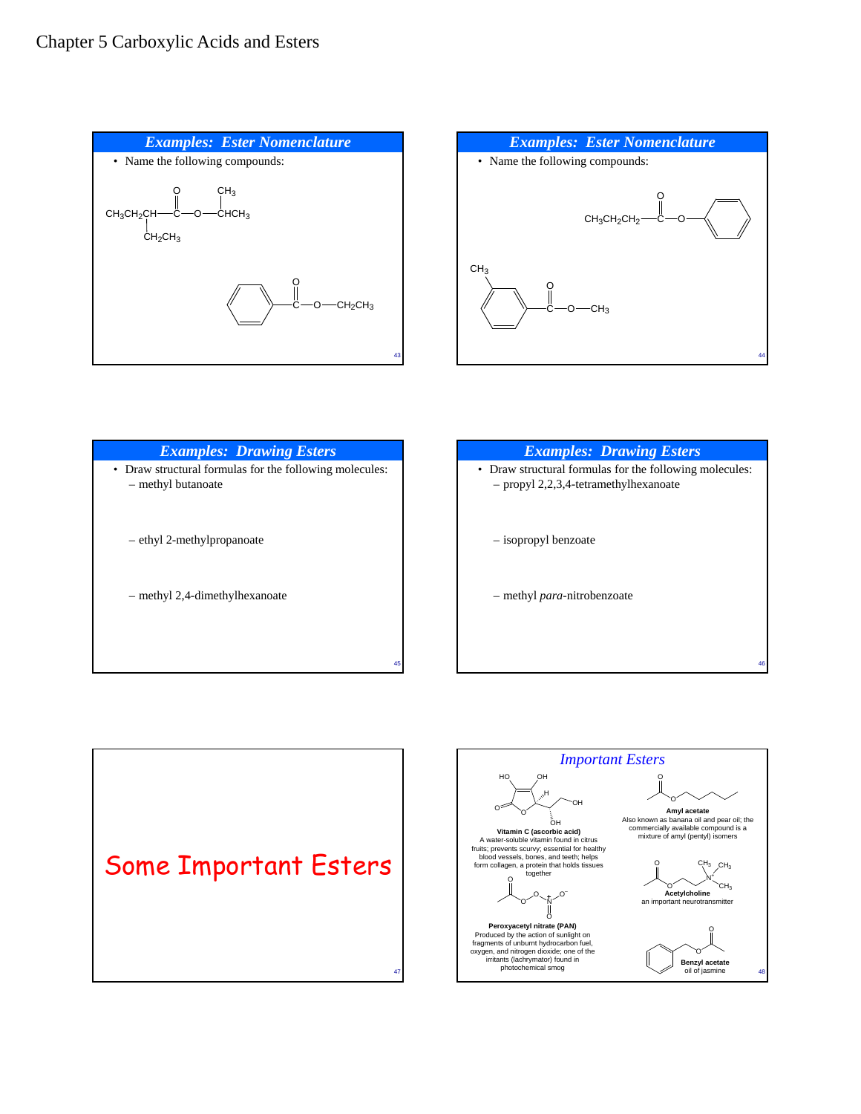



| <b>Examples: Drawing Esters</b>                                               | <b>Examples: Drawing Esters</b>                                                                  |
|-------------------------------------------------------------------------------|--------------------------------------------------------------------------------------------------|
| • Draw structural formulas for the following molecules:<br>- methyl butanoate | • Draw structural formulas for the following molecules:<br>- propyl 2,2,3,4-tetramethylhexanoate |
| - ethyl 2-methylpropanoate                                                    | - isopropyl benzoate                                                                             |
| - methyl 2,4-dimethylhexanoate                                                | - methyl para-nitrobenzoate                                                                      |
| 45                                                                            | 46                                                                                               |



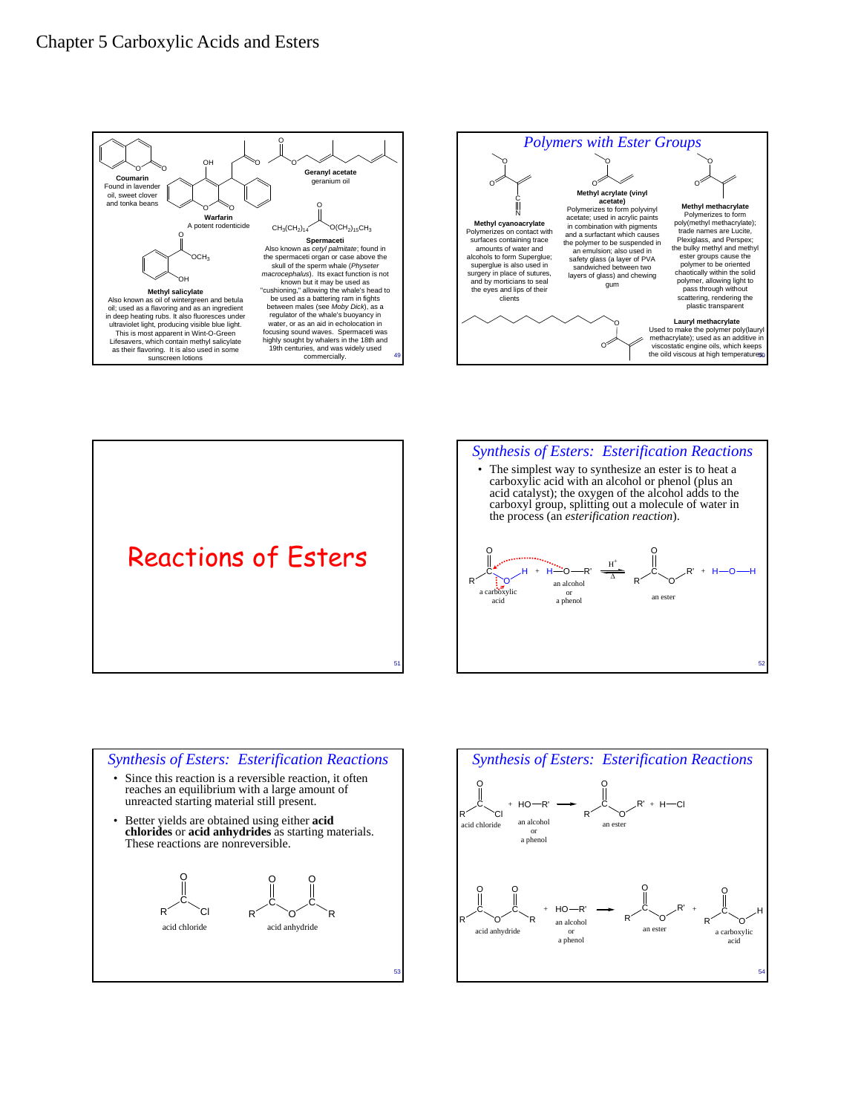









- reaches an equilibrium with a large amount of unreacted starting material still present.
- Better yields are obtained using either **acid chlorides** or **acid anhydrides** as starting materials. These reactions are nonreversible.

O

C R

O



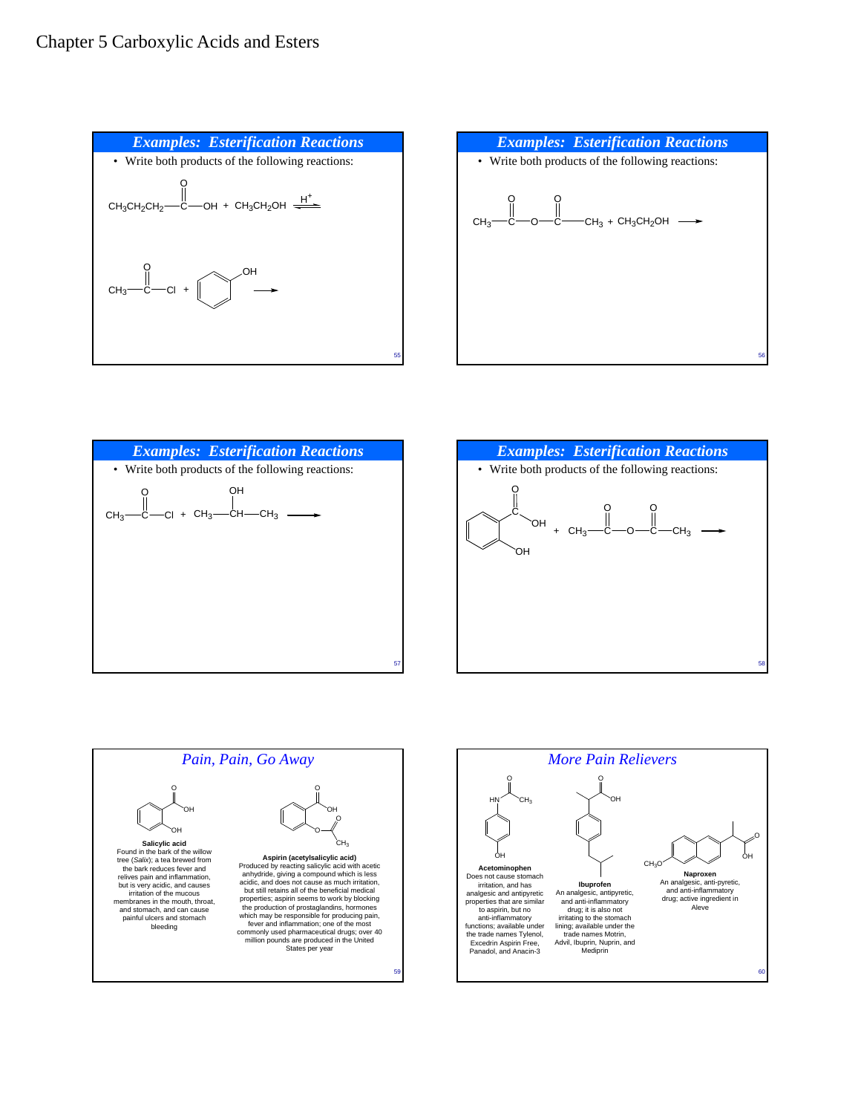









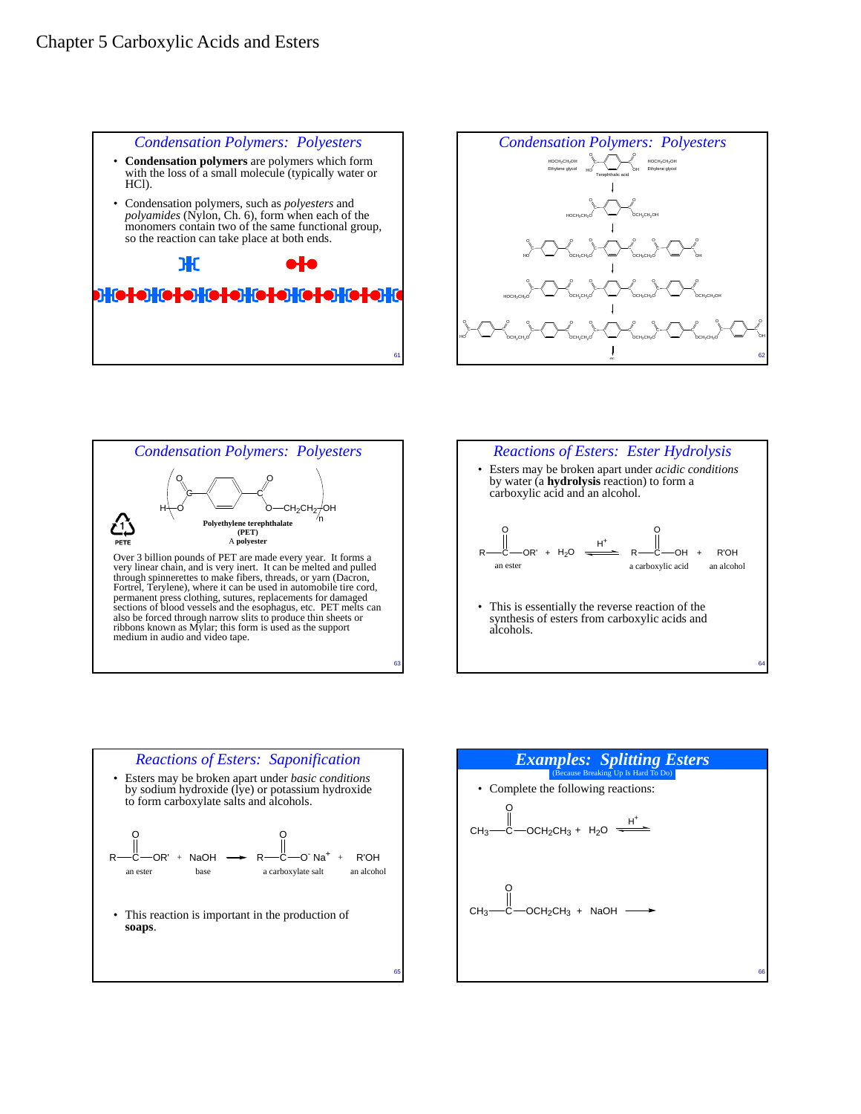









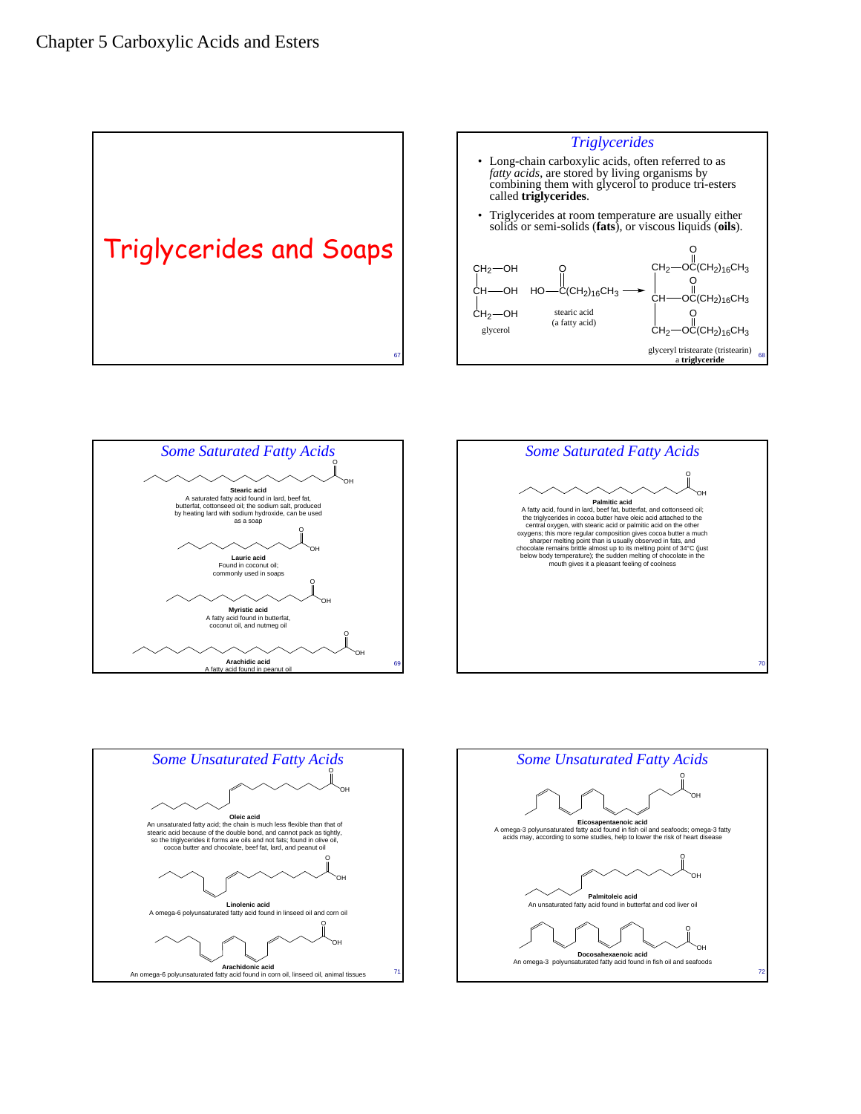







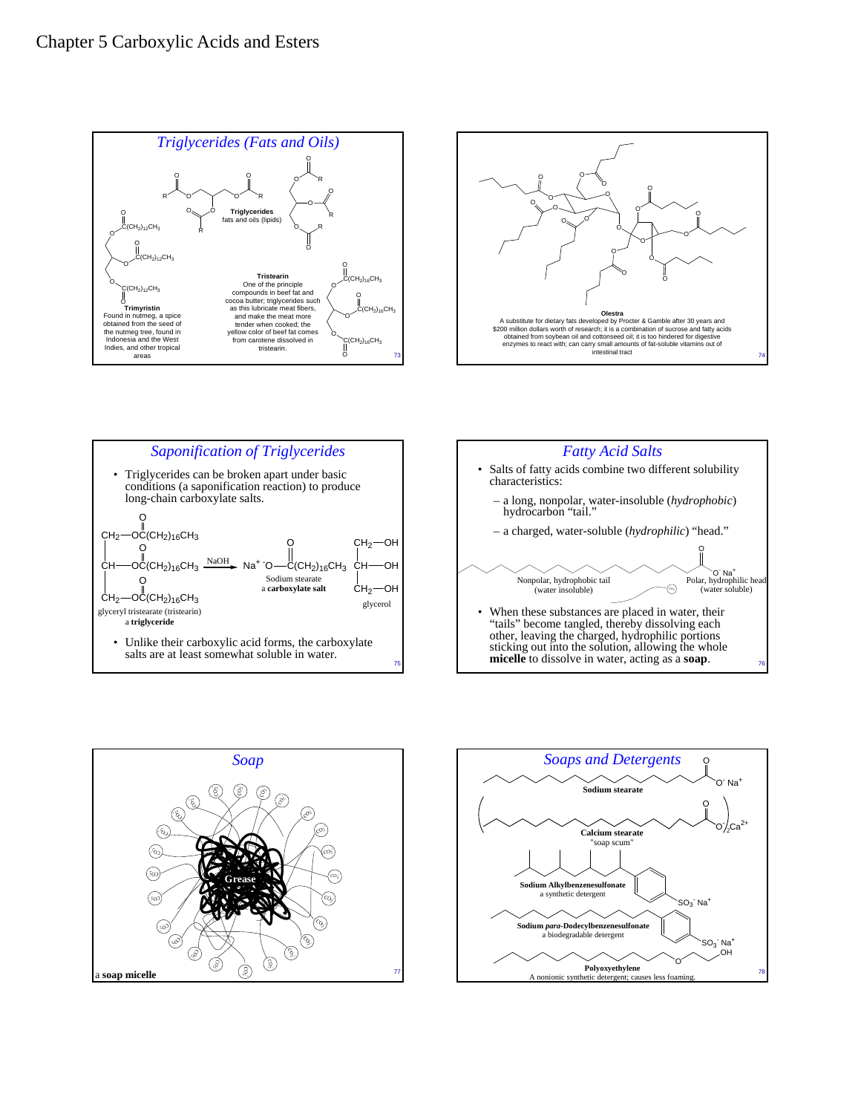